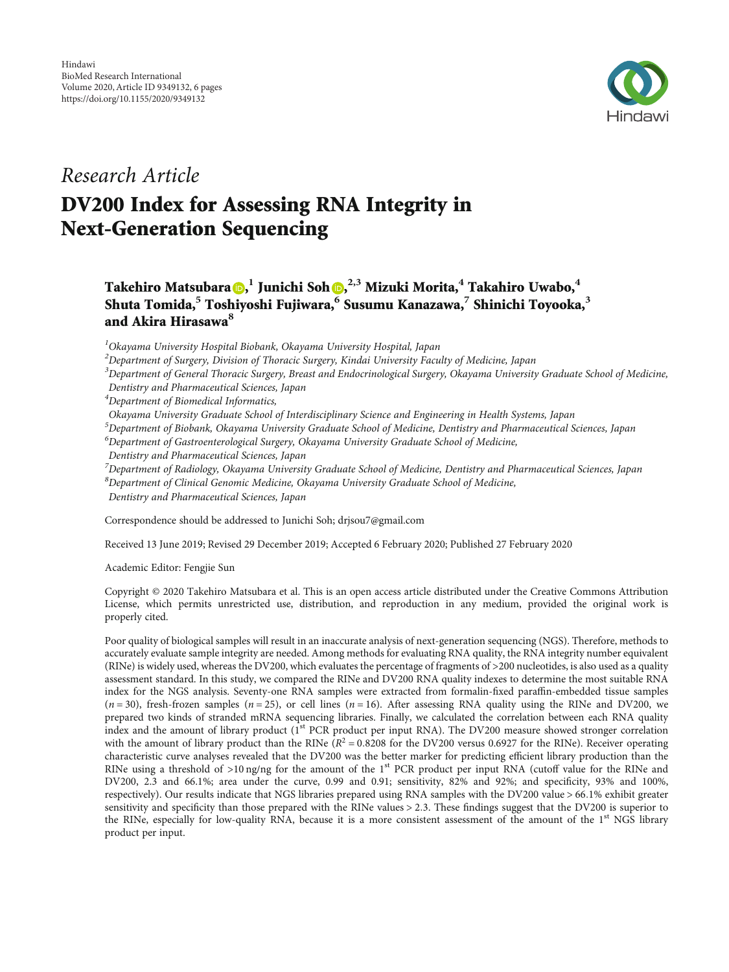

## Research Article

# DV200 Index for Assessing RNA Integrity in Next-Generation Sequencing

Takehiro Matsubara [,](https://orcid.org/0000-0001-6156-4617) **<sup>1</sup>** Junichi Soh , **2,3** Mizuki Morita,**<sup>4</sup>** Takahiro Uwabo,**<sup>4</sup>** Shuta Tomida,**<sup>5</sup>** Toshiyoshi Fujiwara,**<sup>6</sup>** Susumu Kanazawa,**<sup>7</sup>** Shinichi Toyooka,**<sup>3</sup>** and Akira Hirasawa**<sup>8</sup>**

 ${}^{1}$ Okayama University Hospital Biobank, Okayama University Hospital, Japan

 $^2$ Department of Surgery, Division of Thoracic Surgery, Kindai University Faculty of Medicine, Japan

 $^3$ Department of General Thoracic Surgery, Breast and Endocrinological Surgery, Okayama University Graduate School of Medicine, Dentistry and Pharmaceutical Sciences, Japan

4 Department of Biomedical Informatics,

Okayama University Graduate School of Interdisciplinary Science and Engineering in Health Systems, Japan

5 Department of Biobank, Okayama University Graduate School of Medicine, Dentistry and Pharmaceutical Sciences, Japan

<sup>6</sup>Department of Gastroenterological Surgery, Okayama University Graduate School of Medicine,

Dentistry and Pharmaceutical Sciences, Japan

 $^7$ Department of Radiology, Okayama University Graduate School of Medicine, Dentistry and Pharmaceutical Sciences, Japan

<sup>8</sup>Department of Clinical Genomic Medicine, Okayama University Graduate School of Medicine,

Dentistry and Pharmaceutical Sciences, Japan

Correspondence should be addressed to Junichi Soh; drjsou7@gmail.com

Received 13 June 2019; Revised 29 December 2019; Accepted 6 February 2020; Published 27 February 2020

Academic Editor: Fengjie Sun

Copyright © 2020 Takehiro Matsubara et al. This is an open access article distributed under the [Creative Commons Attribution](https://creativecommons.org/licenses/by/4.0/) [License,](https://creativecommons.org/licenses/by/4.0/) which permits unrestricted use, distribution, and reproduction in any medium, provided the original work is properly cited.

Poor quality of biological samples will result in an inaccurate analysis of next-generation sequencing (NGS). Therefore, methods to accurately evaluate sample integrity are needed. Among methods for evaluating RNA quality, the RNA integrity number equivalent (RINe) is widely used, whereas the DV200, which evaluates the percentage of fragments of >200 nucleotides, is also used as a quality assessment standard. In this study, we compared the RINe and DV200 RNA quality indexes to determine the most suitable RNA index for the NGS analysis. Seventy-one RNA samples were extracted from formalin-fixed paraffin-embedded tissue samples  $(n=30)$ , fresh-frozen samples  $(n=25)$ , or cell lines  $(n=16)$ . After assessing RNA quality using the RINe and DV200, we prepared two kinds of stranded mRNA sequencing libraries. Finally, we calculated the correlation between each RNA quality index and the amount of library product (1<sup>st</sup> PCR product per input RNA). The DV200 measure showed stronger correlation with the amount of library product than the RINe  $(R^2 = 0.8208$  for the DV200 versus 0.6927 for the RINe). Receiver operating characteristic curve analyses revealed that the DV200 was the better marker for predicting efficient library production than the RINe using a threshold of  $>10$  ng/ng for the amount of the 1<sup>st</sup> PCR product per input RNA (cutoff value for the RINe and DV200, 2.3 and 66.1%; area under the curve, 0.99 and 0.91; sensitivity, 82% and 92%; and specificity, 93% and 100%, respectively). Our results indicate that NGS libraries prepared using RNA samples with the DV200 value > 66*:*1*%* exhibit greater sensitivity and specificity than those prepared with the RINe values > 2*:*3. These findings suggest that the DV200 is superior to the RINe, especially for low-quality RNA, because it is a more consistent assessment of the amount of the  $1<sup>st</sup> NGS$  library product per input.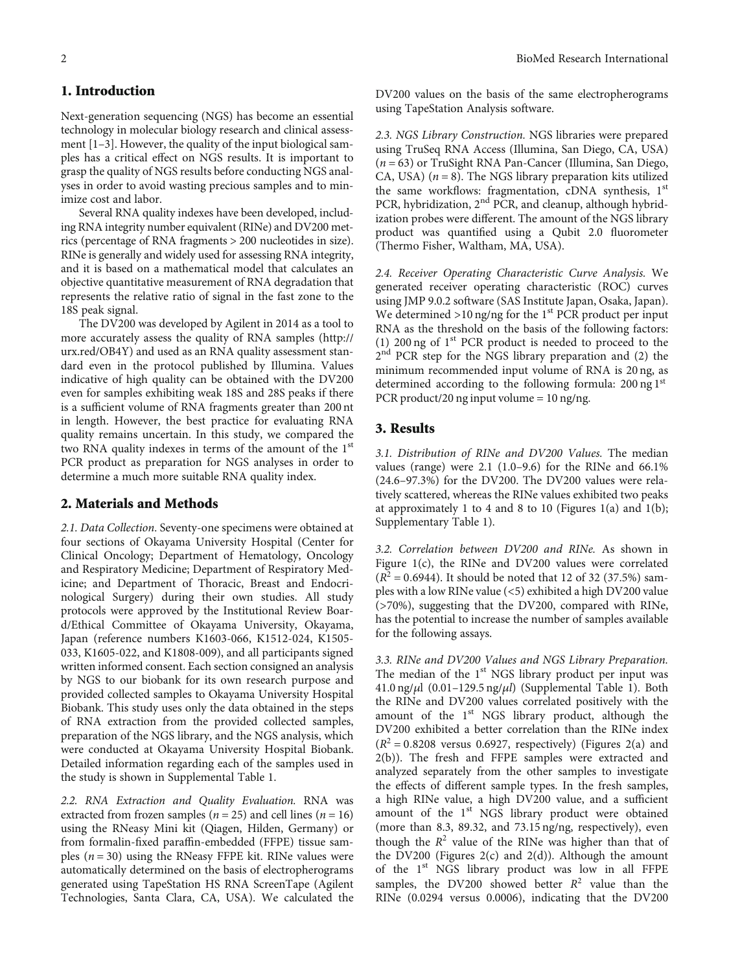## 1. Introduction

Next-generation sequencing (NGS) has become an essential technology in molecular biology research and clinical assessment [\[1](#page-4-0)–[3\]](#page-4-0). However, the quality of the input biological samples has a critical effect on NGS results. It is important to grasp the quality of NGS results before conducting NGS analyses in order to avoid wasting precious samples and to minimize cost and labor.

Several RNA quality indexes have been developed, including RNA integrity number equivalent (RINe) and DV200 metrics (percentage of RNA fragments > 200 nucleotides in size). RINe is generally and widely used for assessing RNA integrity, and it is based on a mathematical model that calculates an objective quantitative measurement of RNA degradation that represents the relative ratio of signal in the fast zone to the 18S peak signal.

The DV200 was developed by Agilent in 2014 as a tool to more accurately assess the quality of RNA samples ([http://](http://urx.red/OB4Y) [urx.red/OB4Y](http://urx.red/OB4Y)) and used as an RNA quality assessment standard even in the protocol published by Illumina. Values indicative of high quality can be obtained with the DV200 even for samples exhibiting weak 18S and 28S peaks if there is a sufficient volume of RNA fragments greater than 200 nt in length. However, the best practice for evaluating RNA quality remains uncertain. In this study, we compared the two RNA quality indexes in terms of the amount of the 1<sup>st</sup> PCR product as preparation for NGS analyses in order to determine a much more suitable RNA quality index.

## 2. Materials and Methods

2.1. Data Collection. Seventy-one specimens were obtained at four sections of Okayama University Hospital (Center for Clinical Oncology; Department of Hematology, Oncology and Respiratory Medicine; Department of Respiratory Medicine; and Department of Thoracic, Breast and Endocrinological Surgery) during their own studies. All study protocols were approved by the Institutional Review Board/Ethical Committee of Okayama University, Okayama, Japan (reference numbers K1603-066, K1512-024, K1505- 033, K1605-022, and K1808-009), and all participants signed written informed consent. Each section consigned an analysis by NGS to our biobank for its own research purpose and provided collected samples to Okayama University Hospital Biobank. This study uses only the data obtained in the steps of RNA extraction from the provided collected samples, preparation of the NGS library, and the NGS analysis, which were conducted at Okayama University Hospital Biobank. Detailed information regarding each of the samples used in the study is shown in Supplemental Table [1](#page-4-0).

2.2. RNA Extraction and Quality Evaluation. RNA was extracted from frozen samples ( $n = 25$ ) and cell lines ( $n = 16$ ) using the RNeasy Mini kit (Qiagen, Hilden, Germany) or from formalin-fixed paraffin-embedded (FFPE) tissue samples  $(n = 30)$  using the RNeasy FFPE kit. RINe values were automatically determined on the basis of electropherograms generated using TapeStation HS RNA ScreenTape (Agilent Technologies, Santa Clara, CA, USA). We calculated the DV200 values on the basis of the same electropherograms using TapeStation Analysis software.

2.3. NGS Library Construction. NGS libraries were prepared using TruSeq RNA Access (Illumina, San Diego, CA, USA) (*n* = 63) or TruSight RNA Pan-Cancer (Illumina, San Diego, CA, USA)  $(n = 8)$ . The NGS library preparation kits utilized the same workflows: fragmentation, cDNA synthesis, 1<sup>st</sup> PCR, hybridization, 2<sup>nd</sup> PCR, and cleanup, although hybridization probes were different. The amount of the NGS library product was quantified using a Qubit 2.0 fluorometer (Thermo Fisher, Waltham, MA, USA).

2.4. Receiver Operating Characteristic Curve Analysis. We generated receiver operating characteristic (ROC) curves using JMP 9.0.2 software (SAS Institute Japan, Osaka, Japan). We determined  $>10$  ng/ng for the 1<sup>st</sup> PCR product per input RNA as the threshold on the basis of the following factors: (1) 200 ng of  $1<sup>st</sup>$  PCR product is needed to proceed to the 2<sup>nd</sup> PCR step for the NGS library preparation and (2) the minimum recommended input volume of RNA is 20 ng, as determined according to the following formula: 200 ng 1st PCR product/20 ng input volume = 10 ng/ng.

## 3. Results

3.1. Distribution of RINe and DV200 Values. The median values (range) were 2.1 (1.0–9.6) for the RINe and 66.1% (24.6–97.3%) for the DV200. The DV200 values were relatively scattered, whereas the RINe values exhibited two peaks at approximately 1 to 4 and 8 to 10 (Figures [1\(a\)](#page-2-0) and [1\(b\);](#page-2-0) Supplementary Table [1\)](#page-4-0).

3.2. Correlation between DV200 and RINe. As shown in Figure [1\(c\),](#page-2-0) the RINe and DV200 values were correlated  $(R^{2} = 0.6944)$ . It should be noted that 12 of 32 (37.5%) samples with a low RINe value (<5) exhibited a high DV200 value (>70%), suggesting that the DV200, compared with RINe, has the potential to increase the number of samples available for the following assays.

3.3. RINe and DV200 Values and NGS Library Preparation. The median of the  $1<sup>st</sup> NGS$  library product per input was 41.0 ng/*μ*l (0.01–129.5 ng/*μ*l) (Supplemental Table [1](#page-4-0)). Both the RINe and DV200 values correlated positively with the amount of the 1<sup>st</sup> NGS library product, although the DV200 exhibited a better correlation than the RINe index  $(R^2 = 0.8208$  versus 0.6927, respectively) (Figures [2\(](#page-3-0)a) and [2\(](#page-3-0)b)). The fresh and FFPE samples were extracted and analyzed separately from the other samples to investigate the effects of different sample types. In the fresh samples, a high RINe value, a high DV200 value, and a sufficient amount of the  $1<sup>st</sup> NGS$  library product were obtained (more than 8.3, 89.32, and 73.15 ng/ng, respectively), even though the  $R^2$  value of the RINe was higher than that of the DV200 (Figures  $2(c)$  and  $2(d)$ ). Although the amount of the 1<sup>st</sup> NGS library product was low in all FFPE samples, the DV200 showed better  $R^2$  value than the RINe (0.0294 versus 0.0006), indicating that the DV200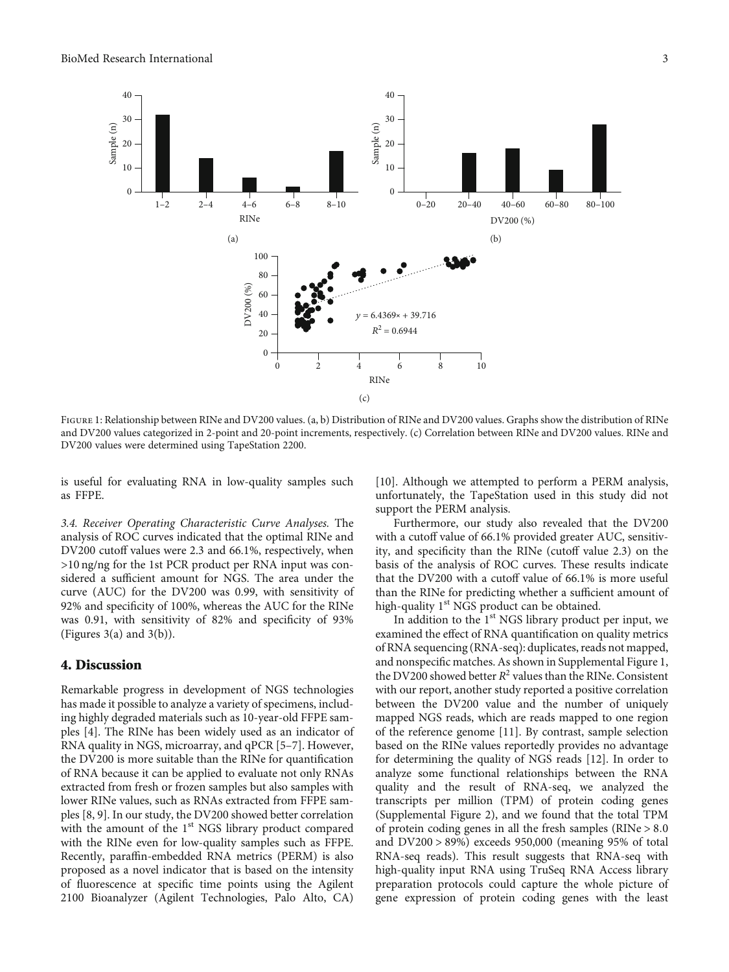<span id="page-2-0"></span>

FIGURE 1: Relationship between RINe and DV200 values. (a, b) Distribution of RINe and DV200 values. Graphs show the distribution of RINe and DV200 values categorized in 2-point and 20-point increments, respectively. (c) Correlation between RINe and DV200 values. RINe and DV200 values were determined using TapeStation 2200.

is useful for evaluating RNA in low-quality samples such as FFPE.

3.4. Receiver Operating Characteristic Curve Analyses. The analysis of ROC curves indicated that the optimal RINe and DV200 cutoff values were 2.3 and 66.1%, respectively, when >10 ng/ng for the 1st PCR product per RNA input was considered a sufficient amount for NGS. The area under the curve (AUC) for the DV200 was 0.99, with sensitivity of 92% and specificity of 100%, whereas the AUC for the RINe was 0.91, with sensitivity of 82% and specificity of 93% (Figures  $3(a)$  and  $3(b)$ ).

#### 4. Discussion

Remarkable progress in development of NGS technologies has made it possible to analyze a variety of specimens, including highly degraded materials such as 10-year-old FFPE samples [\[4](#page-4-0)]. The RINe has been widely used as an indicator of RNA quality in NGS, microarray, and qPCR [\[5](#page-5-0)–[7](#page-5-0)]. However, the DV200 is more suitable than the RINe for quantification of RNA because it can be applied to evaluate not only RNAs extracted from fresh or frozen samples but also samples with lower RINe values, such as RNAs extracted from FFPE samples [\[8, 9\]](#page-5-0). In our study, the DV200 showed better correlation with the amount of the 1<sup>st</sup> NGS library product compared with the RINe even for low-quality samples such as FFPE. Recently, paraffin-embedded RNA metrics (PERM) is also proposed as a novel indicator that is based on the intensity of fluorescence at specific time points using the Agilent 2100 Bioanalyzer (Agilent Technologies, Palo Alto, CA)

[\[10\]](#page-5-0). Although we attempted to perform a PERM analysis, unfortunately, the TapeStation used in this study did not support the PERM analysis.

Furthermore, our study also revealed that the DV200 with a cutoff value of 66.1% provided greater AUC, sensitivity, and specificity than the RINe (cutoff value 2.3) on the basis of the analysis of ROC curves. These results indicate that the DV200 with a cutoff value of 66.1% is more useful than the RINe for predicting whether a sufficient amount of high-quality  $1<sup>st</sup> NGS$  product can be obtained.

In addition to the  $1<sup>st</sup> NGS$  library product per input, we examined the effect of RNA quantification on quality metrics of RNA sequencing (RNA-seq): duplicates, reads not mapped, and nonspecific matches. As shown in Supplemental Figure [1,](#page-4-0) the DV200 showed better  $R^2$  values than the RINe. Consistent with our report, another study reported a positive correlation between the DV200 value and the number of uniquely mapped NGS reads, which are reads mapped to one region of the reference genome [[11\]](#page-5-0). By contrast, sample selection based on the RINe values reportedly provides no advantage for determining the quality of NGS reads [[12](#page-5-0)]. In order to analyze some functional relationships between the RNA quality and the result of RNA-seq, we analyzed the transcripts per million (TPM) of protein coding genes (Supplemental Figure [2](#page-4-0)), and we found that the total TPM of protein coding genes in all the fresh samples (RINe > 8*:*0 and DV200 > 89*%*) exceeds 950,000 (meaning 95% of total RNA-seq reads). This result suggests that RNA-seq with high-quality input RNA using TruSeq RNA Access library preparation protocols could capture the whole picture of gene expression of protein coding genes with the least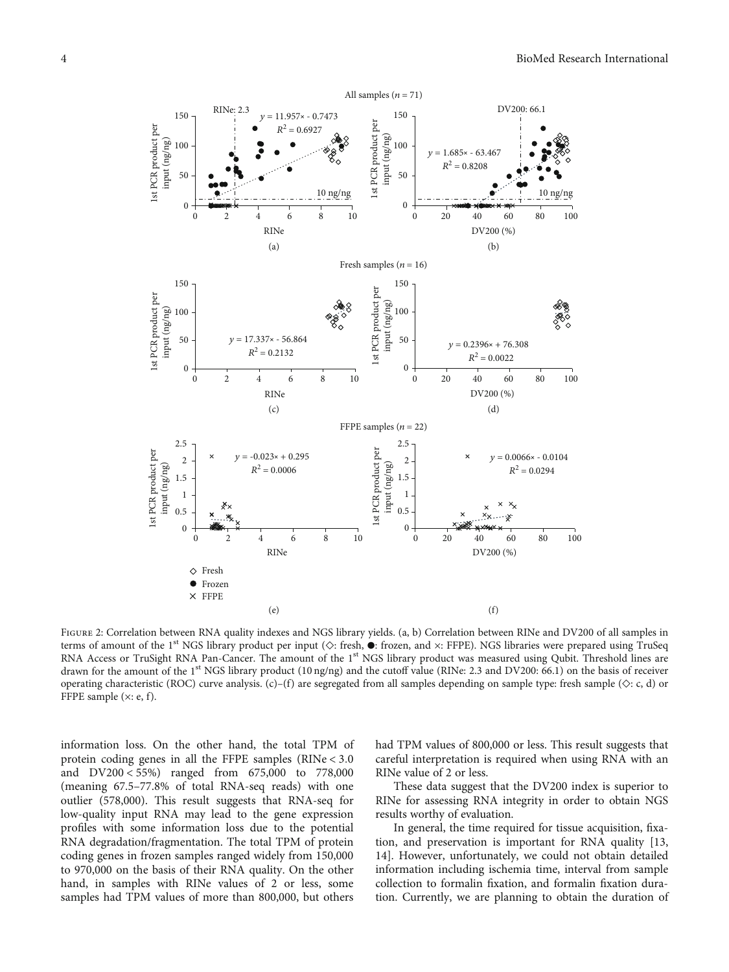<span id="page-3-0"></span>

FIGURE 2: Correlation between RNA quality indexes and NGS library yields. (a, b) Correlation between RINe and DV200 of all samples in terms of amount of the 1<sup>st</sup> NGS library product per input ( $\diamond$ : fresh,  $\bullet$ : frozen, and  $\times$ : FFPE). NGS libraries were prepared using TruSeq RNA Access or TruSight RNA Pan-Cancer. The amount of the 1<sup>st</sup> NGS library product was measured using Qubit. Threshold lines are drawn for the amount of the 1<sup>st</sup> NGS library product (10 ng/ng) and the cutoff value (RINe: 2.3 and DV200: 66.1) on the basis of receiver operating characteristic (ROC) curve analysis. (c)–(f) are segregated from all samples depending on sample type: fresh sample ( $\diamond$ : c, d) or FFPE sample  $(x: e, f)$ .

information loss. On the other hand, the total TPM of protein coding genes in all the FFPE samples (RINe < 3*:*0 and DV200 < 55*%*) ranged from 675,000 to 778,000 (meaning 67.5–77.8% of total RNA-seq reads) with one outlier (578,000). This result suggests that RNA-seq for low-quality input RNA may lead to the gene expression profiles with some information loss due to the potential RNA degradation/fragmentation. The total TPM of protein coding genes in frozen samples ranged widely from 150,000 to 970,000 on the basis of their RNA quality. On the other hand, in samples with RINe values of 2 or less, some samples had TPM values of more than 800,000, but others

had TPM values of 800,000 or less. This result suggests that careful interpretation is required when using RNA with an RINe value of 2 or less.

These data suggest that the DV200 index is superior to RINe for assessing RNA integrity in order to obtain NGS results worthy of evaluation.

In general, the time required for tissue acquisition, fixation, and preservation is important for RNA quality [\[13,](#page-5-0) [14\]](#page-5-0). However, unfortunately, we could not obtain detailed information including ischemia time, interval from sample collection to formalin fixation, and formalin fixation duration. Currently, we are planning to obtain the duration of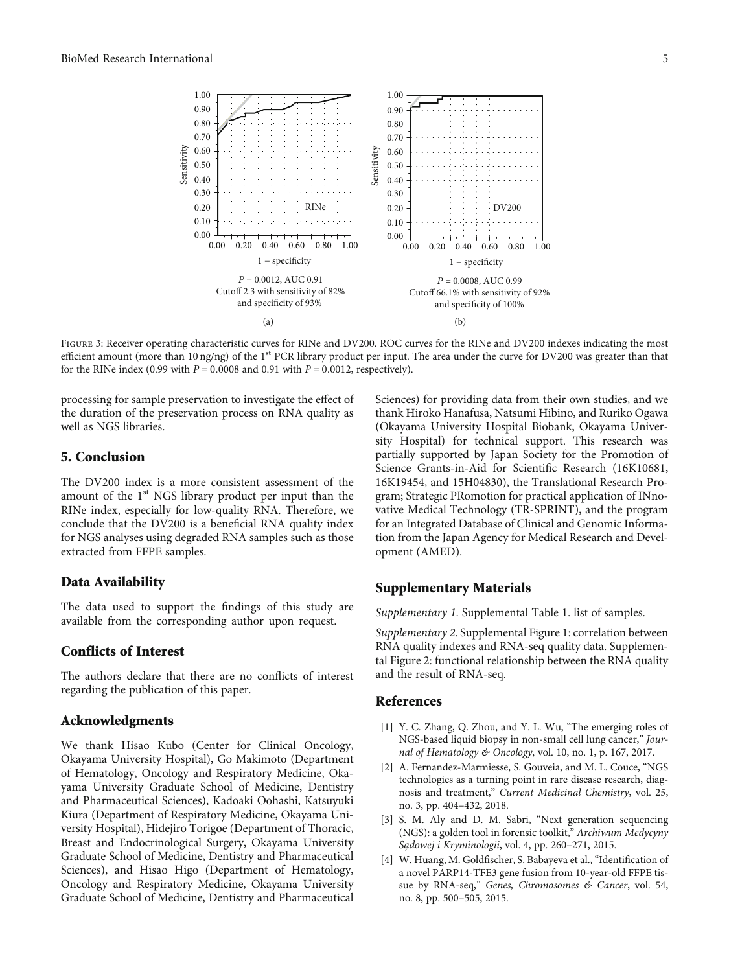<span id="page-4-0"></span>

FIGURE 3: Receiver operating characteristic curves for RINe and DV200. ROC curves for the RINe and DV200 indexes indicating the most efficient amount (more than 10 ng/ng) of the 1<sup>st</sup> PCR library product per input. The area under the curve for DV200 was greater than that for the RINe index  $(0.99 \text{ with } P = 0.0008 \text{ and } 0.91 \text{ with } P = 0.0012$ , respectively).

processing for sample preservation to investigate the effect of the duration of the preservation process on RNA quality as well as NGS libraries.

## 5. Conclusion

The DV200 index is a more consistent assessment of the amount of the  $1<sup>st</sup> NGS$  library product per input than the RINe index, especially for low-quality RNA. Therefore, we conclude that the DV200 is a beneficial RNA quality index for NGS analyses using degraded RNA samples such as those extracted from FFPE samples.

#### Data Availability

The data used to support the findings of this study are available from the corresponding author upon request.

### Conflicts of Interest

The authors declare that there are no conflicts of interest regarding the publication of this paper.

#### Acknowledgments

We thank Hisao Kubo (Center for Clinical Oncology, Okayama University Hospital), Go Makimoto (Department of Hematology, Oncology and Respiratory Medicine, Okayama University Graduate School of Medicine, Dentistry and Pharmaceutical Sciences), Kadoaki Oohashi, Katsuyuki Kiura (Department of Respiratory Medicine, Okayama University Hospital), Hidejiro Torigoe (Department of Thoracic, Breast and Endocrinological Surgery, Okayama University Graduate School of Medicine, Dentistry and Pharmaceutical Sciences), and Hisao Higo (Department of Hematology, Oncology and Respiratory Medicine, Okayama University Graduate School of Medicine, Dentistry and Pharmaceutical

Sciences) for providing data from their own studies, and we thank Hiroko Hanafusa, Natsumi Hibino, and Ruriko Ogawa (Okayama University Hospital Biobank, Okayama University Hospital) for technical support. This research was partially supported by Japan Society for the Promotion of Science Grants-in-Aid for Scientific Research (16K10681, 16K19454, and 15H04830), the Translational Research Program; Strategic PRomotion for practical application of INnovative Medical Technology (TR-SPRINT), and the program for an Integrated Database of Clinical and Genomic Information from the Japan Agency for Medical Research and Development (AMED).

#### Supplementary Materials

[Supplementary 1](http://downloads.hindawi.com/journals/bmri/2020/9349132.f1.xlsx). Supplemental Table 1. list of samples.

[Supplementary 2](http://downloads.hindawi.com/journals/bmri/2020/9349132.f2.pptx). Supplemental Figure 1: correlation between RNA quality indexes and RNA-seq quality data. Supplemental Figure 2: functional relationship between the RNA quality and the result of RNA-seq.

#### References

- [1] Y. C. Zhang, Q. Zhou, and Y. L. Wu, "The emerging roles of NGS-based liquid biopsy in non-small cell lung cancer," Journal of Hematology & Oncology, vol. 10, no. 1, p. 167, 2017.
- [2] A. Fernandez-Marmiesse, S. Gouveia, and M. L. Couce, "NGS technologies as a turning point in rare disease research, diagnosis and treatment," Current Medicinal Chemistry, vol. 25, no. 3, pp. 404–432, 2018.
- [3] S. M. Aly and D. M. Sabri, "Next generation sequencing (NGS): a golden tool in forensic toolkit," Archiwum Medycyny Sa̧dowej i Kryminologii, vol. 4, pp. 260–271, 2015.
- [4] W. Huang, M. Goldfischer, S. Babayeva et al., "Identification of a novel PARP14-TFE3 gene fusion from 10-year-old FFPE tissue by RNA-seq," Genes, Chromosomes & Cancer, vol. 54, no. 8, pp. 500–505, 2015.